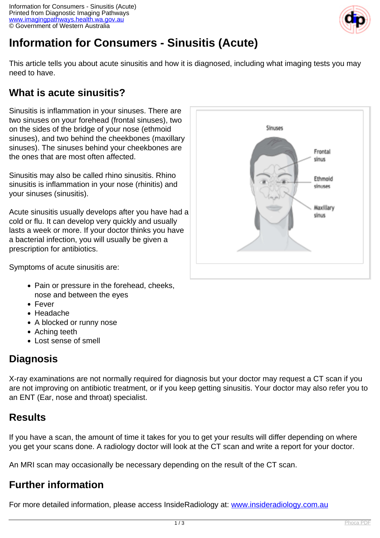

# **Information for Consumers - Sinusitis (Acute)**

This article tells you about acute sinusitis and how it is diagnosed, including what imaging tests you may need to have.

# **What is acute sinusitis?**

Sinusitis is inflammation in your sinuses. There are two sinuses on your forehead (frontal sinuses), two on the sides of the bridge of your nose (ethmoid sinuses), and two behind the cheekbones (maxillary sinuses). The sinuses behind your cheekbones are the ones that are most often affected.

Sinusitis may also be called rhino sinusitis. Rhino sinusitis is inflammation in your nose (rhinitis) and your sinuses (sinusitis).

Acute sinusitis usually develops after you have had a cold or flu. It can develop very quickly and usually lasts a week or more. If your doctor thinks you have a bacterial infection, you will usually be given a prescription for antibiotics.



Symptoms of acute sinusitis are:

- Pain or pressure in the forehead, cheeks, nose and between the eyes
- Fever
- Headache
- A blocked or runny nose
- Aching teeth
- Lost sense of smell

# **Diagnosis**

X-ray examinations are not normally required for diagnosis but your doctor may request a CT scan if you are not improving on antibiotic treatment, or if you keep getting sinusitis. Your doctor may also refer you to an ENT (Ear, nose and throat) specialist.

# **Results**

If you have a scan, the amount of time it takes for you to get your results will differ depending on where you get your scans done. A radiology doctor will look at the CT scan and write a report for your doctor.

An MRI scan may occasionally be necessary depending on the result of the CT scan.

# **Further information**

For more detailed information, please access InsideRadiology at: [www.insideradiology.com.au](http://www.insideradiology.com.au/)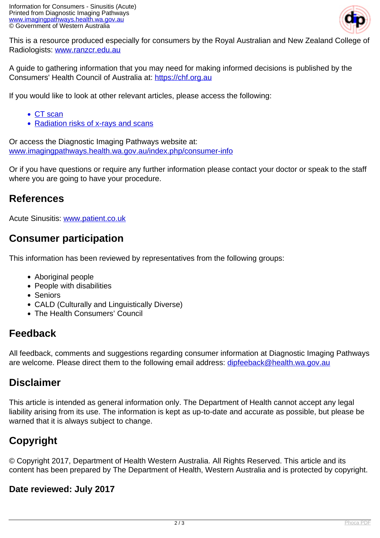

This is a resource produced especially for consumers by the Royal Australian and New Zealand College of Radiologists: [www.ranzcr.edu.au](http://www.ranzcr.edu.au/)

A guide to gathering information that you may need for making informed decisions is published by the Consumers' Health Council of Australia at: <https://chf.org.au>

If you would like to look at other relevant articles, please access the following:

- [CT scan](index.php/consumer-info/imaging-procedures/ct-scan)
- [Radiation risks of x-rays and scans](index.php/consumer-info/general-information-about-diagnostic-imaging/radiation-risks-of-x-rays-and-scans)

Or access the Diagnostic Imaging Pathways website at: [www.imagingpathways.health.wa.gov.au/index.php/consumer-info](index.php/consumer-info)

Or if you have questions or require any further information please contact your doctor or speak to the staff where you are going to have your procedure.

## **References**

Acute Sinusitis: [www.patient.co.uk](http://www.patient.co.uk/)

## **Consumer participation**

This information has been reviewed by representatives from the following groups:

- Aboriginal people
- People with disabilities
- Seniors
- CALD (Culturally and Linguistically Diverse)
- The Health Consumers' Council

#### **Feedback**

All feedback, comments and suggestions regarding consumer information at Diagnostic Imaging Pathways are welcome. Please direct them to the following email address: [dipfeeback@health.wa.gov.au](mailto:dipfeeback@health.wa.gov.au)

#### **Disclaimer**

This article is intended as general information only. The Department of Health cannot accept any legal liability arising from its use. The information is kept as up-to-date and accurate as possible, but please be warned that it is always subject to change.

# **Copyright**

© Copyright 2017, Department of Health Western Australia. All Rights Reserved. This article and its content has been prepared by The Department of Health, Western Australia and is protected by copyright.

#### **Date reviewed: July 2017**